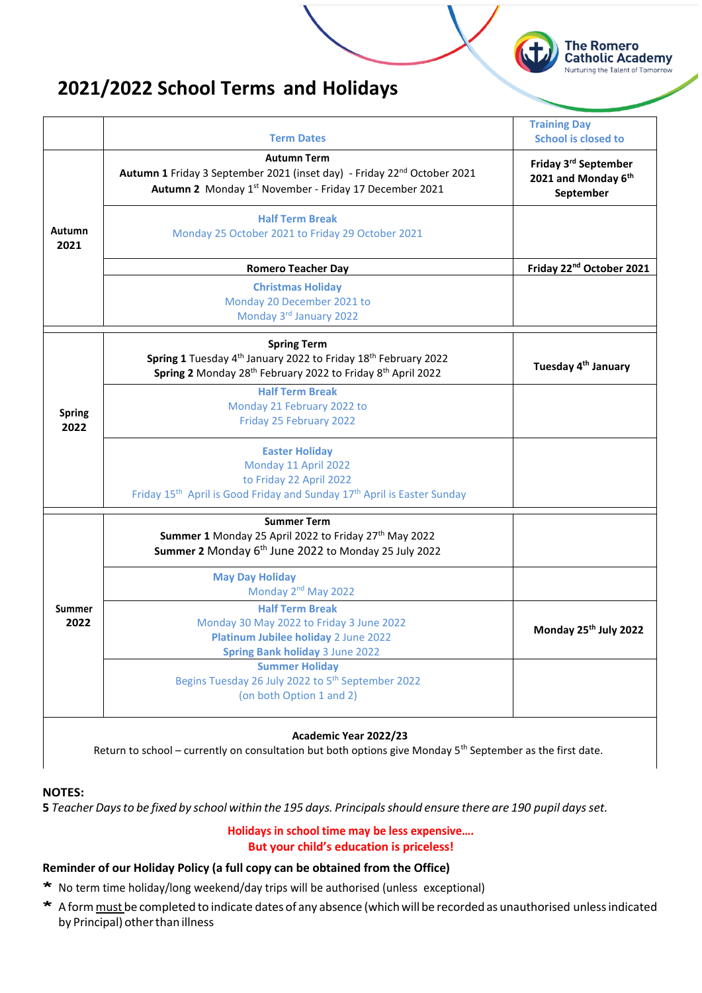

# **2021/2022 School Terms and Holidays**

|                       | <b>Term Dates</b>                                                                                                                                                                                   | <b>Training Day</b><br>School is closed to               |
|-----------------------|-----------------------------------------------------------------------------------------------------------------------------------------------------------------------------------------------------|----------------------------------------------------------|
|                       | <b>Autumn Term</b><br>Autumn 1 Friday 3 September 2021 (inset day) - Friday 22 <sup>nd</sup> October 2021<br>Autumn 2 Monday 1st November - Friday 17 December 2021                                 | Friday 3rd September<br>2021 and Monday 6th<br>September |
| <b>Autumn</b><br>2021 | <b>Half Term Break</b><br>Monday 25 October 2021 to Friday 29 October 2021                                                                                                                          |                                                          |
|                       | <b>Romero Teacher Day</b>                                                                                                                                                                           | Friday 22 <sup>nd</sup> October 2021                     |
|                       | <b>Christmas Holiday</b><br>Monday 20 December 2021 to<br>Monday 3rd January 2022                                                                                                                   |                                                          |
|                       | <b>Spring Term</b><br>Spring 1 Tuesday 4 <sup>th</sup> January 2022 to Friday 18 <sup>th</sup> February 2022<br>Spring 2 Monday 28 <sup>th</sup> February 2022 to Friday 8 <sup>th</sup> April 2022 | Tuesday 4 <sup>th</sup> January                          |
| <b>Spring</b><br>2022 | <b>Half Term Break</b><br>Monday 21 February 2022 to<br>Friday 25 February 2022                                                                                                                     |                                                          |
|                       | <b>Easter Holiday</b><br>Monday 11 April 2022<br>to Friday 22 April 2022<br>Friday 15 <sup>th</sup> April is Good Friday and Sunday 17 <sup>th</sup> April is Easter Sunday                         |                                                          |
|                       | <b>Summer Term</b><br>Summer 1 Monday 25 April 2022 to Friday 27th May 2022<br>Summer 2 Monday 6 <sup>th</sup> June 2022 to Monday 25 July 2022                                                     |                                                          |
|                       | <b>May Day Holiday</b><br>Monday 2 <sup>nd</sup> May 2022                                                                                                                                           |                                                          |
| <b>Summer</b><br>2022 | <b>Half Term Break</b><br>Monday 30 May 2022 to Friday 3 June 2022<br>Platinum Jubilee holiday 2 June 2022<br><b>Spring Bank holiday 3 June 2022</b>                                                | Monday 25th July 2022                                    |
|                       | <b>Summer Holiday</b><br>Begins Tuesday 26 July 2022 to 5 <sup>th</sup> September 2022<br>(on both Option 1 and 2)                                                                                  |                                                          |

#### **Academic Year 2022/23**

Return to school – currently on consultation but both options give Monday 5<sup>th</sup> September as the first date.

## **NOTES:**

5 Teacher Days to be fixed by school within the 195 days. Principals should ensure there are 190 pupil days set.

#### **Holidays in school time may be less expensive…. But your child's education is priceless!**

## **Reminder of our Holiday Policy (a full copy can be obtained from the Office)**

- \* No term time holiday/long weekend/day trips will be authorised (unless exceptional)
- \* A form must be completed to indicate dates of any absence (which will be recorded as unauthorised unless indicated by Principal) other than illness